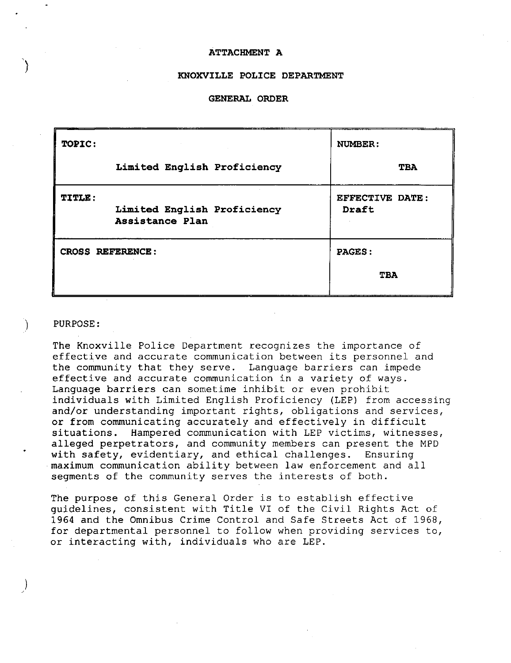## **ATTACHMENT A**

### **KNOXVILLE POLICE DEPARTMENT**

### **GENERAL ORDER**

| TOPIC:                  |                                                | NUMBER:                  |
|-------------------------|------------------------------------------------|--------------------------|
|                         | Limited English Proficiency                    | <b>TBA</b>               |
| <b>TITLE:</b>           | Limited English Proficiency<br>Assistance Plan | EFFECTIVE DATE:<br>Draft |
| <b>CROSS REFERENCE:</b> |                                                | PAGES:                   |
|                         |                                                | TBA                      |

## ) PURPOSE:

/

)

The Knoxville Police Department recognizes the importance of effective and accurate communication between its personnel and the community that they serve. Language barriers can impede effective and accurate communication in a variety of ways. Language barriers can sometime inhibit or even prohibit individuals with Limited English Proficiency (LEP) from accessing and/or understanding important rights, obligations and services, or from communicating accurately and effectively in difficult situations. Hampered communication with LEP victims, witnesses, alleged perpetrators, and community members can present the MPD with safety, evidentiary, and ethical challenges. Ensuring maximum communication ability between law enforcement and all segments of the community serves the interests of both.

The purpose of this General Order is to establish effective guidelines, consistent with Title VI of the Civil Rights Act of 1964 and the Omnibus Crime Control and Safe Streets Act of 1968, for departmental personnel to follow when providing services to, or interacting with, individuals who are LEP.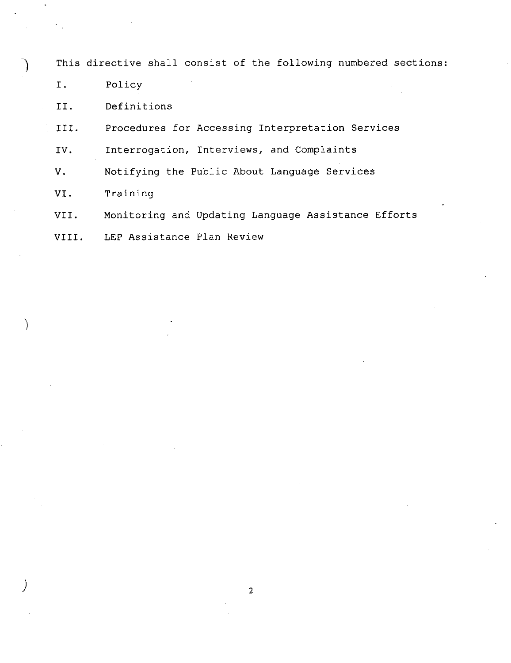This directive shall consist of the following numbered sections:

I. Policy

II. Definitions

III. Procedures for Accessing Interpretation Services

IV. Interrogation, Interviews, and Complaints

V. Notifying the Public About Language Services

VI. Training

 $\left( \right)$ 

 $\int$ 

VII. Monitoring and Updating Language Assistance Efforts

VIII. LEP Assistance Plan Review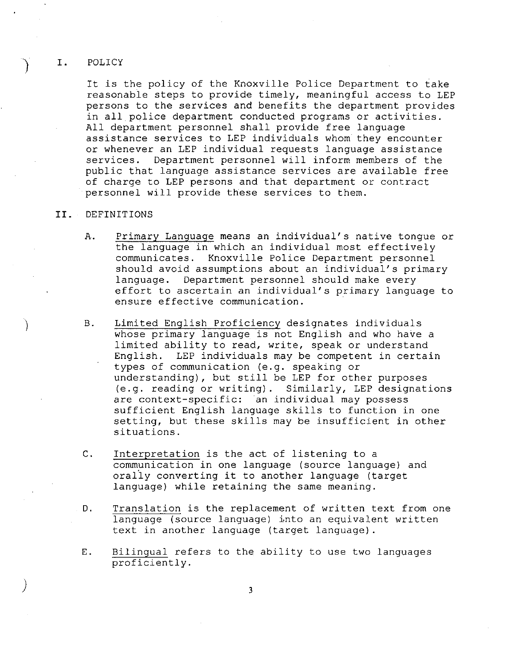### I. POLICY

It is the policy of the Knoxville Police Department to take reasonable steps to provide timely, meaningful access to LEP persons to the services and benefits the department provides in all police department conducted programs or activities. All department personnel shall provide free language assistance services to LEP individuals whom they encounter or whenever an LEP individual requests language assistance<br>services. Department personnel will inform members of the Department personnel will inform members of the public that language assistance services are available free of charge to LEP persons and that department or contract personnel will provide these services to them.

# II. DEFINITIONS

 $\Big)$ 

- A. Primary Language means an individual's native tongue or the language in which an individual most effectively communicates. Knoxville Police Department personnel should avoid assumptions about an individual's primary<br>language. Department personnel should make every Department personnel should make every effort to ascertain an individual's primary language to ensure effective communication.
- B. Limited English Proficiency designates individuals whose primary language is not English and who have a limited ability to read, write, speak or understand English. LEP individuals may be competent in certain types of communication (e.g. speaking or understanding), but still be LEP for other purposes (e.g. reading or writing). Similarly, LEP designations are context-specific: an individual may possess sufficient English language skills to function in one setting, but these skills may be insufficient in other situations.
- C. Interpretation is the act of listening to a communication in one language (source language) and oraliy converting it to another language (target language) while retaining the same meaning.
- D. Translation is the replacement of written text from one language (source language) into an equivalent written text in another language (target language).
- E. Bilingual refers to the ability to use two languages proficiently.

3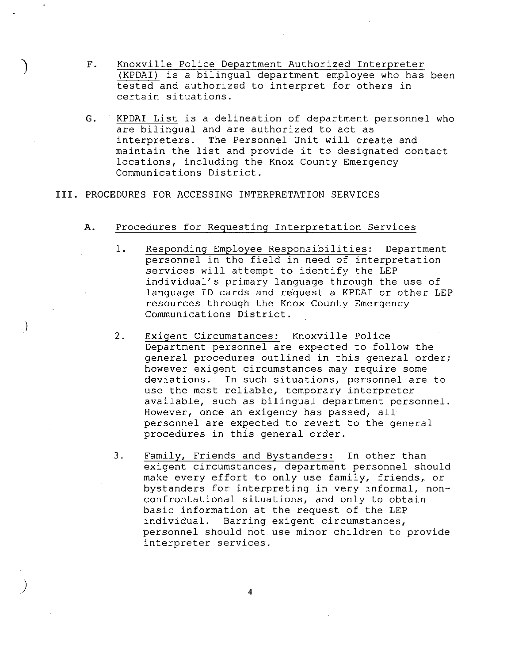- F. Knoxville Police Department Authorized Interpreter (KPDAI) is a bilingual department employee who has been tested and authorized to interpret for others in certain situations.
- G. KPDAI List is a delineation of department personnel who are bilingual and are authorized to act as interpreters. The Personnel Unit will create and maintain the list and provide it to designated contact locations, including the Knox County Emergency Communications District.

# **III.** PROCEDURES FOR ACCESSING INTERPRETATION SERVICES

)

)

)

# A. Procedures for Requesting Interpretation Services

- 1. Responding Employee Responsibilities: Department personnel in the field in need of interpretation services will attempt to identify the LEP individual's primary language through the use of language ID cards and request a KPDAI or other LEP resources through the Knox County Emergency Communications District.
- 2. Exigent Circumstances: Knoxville Police Department personnel are expected to follow the general procedures outlined in this general order; however exigent circumstances may require some deviations. In such situations, personnel are to use the most reliable, temporary interpreter available, such as bilingual department personnel. However, once an exigency has passed, all personnel are expected to revert to the general procedures in this general order.
- 3. Family, Friends and Bystanders: In other than exigent circumstances, department personnel should make every effort to only use family, friends, or bystanders for interpreting in very informal, nonconfrontational situations, and only to obtain basic information at the request of the LEP individual. Barring exigent circumstances, personnel should not use minor children to provide interpreter services.

4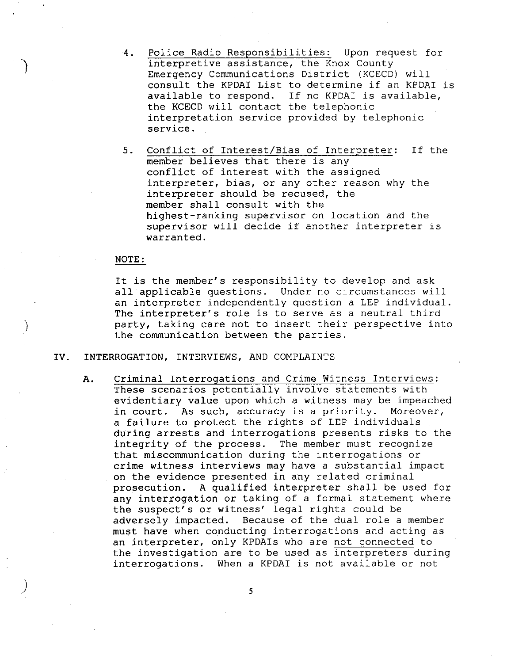- 4. Police Radio Responsibilities: Upon request for interpretive assistance, the Knox County Emergency Communications District (KCECD) will consult the KPDAI List to determine if an KPDAI is available to respond. If no KPDAI is available, the KCECD will contact the telephonic interpretation service provided by telephonic service.
- 5. Conflict of Interest/Bias of Interpreter: If the member believes that there is any conflict of interest with the assigned interpreter, bias, or any other reason why the interpreter should be recused, the member shall consult with the highest-ranking supervisor on location and the supervisor will decide if another interpreter is warranted.

### NOTE:

 $\big)$ 

 $\int$ 

It is the member's responsibility to develop and ask all applicable questions. Under no circumstances will an interpreter independently question a LEP individual. The interpreter's role is to serve as a neutral third party, taking care not to insert their perspective into the communication between the parties.

#### IV. INTERROGATION, INTERVIEWS, AND COMPLAINTS

A. Criminal Interrogations and Crime Witness Interviews: These scenarios potentially involve statements with evidentiary value upon which a witness may be impeached in court. As such, accuracy is a priority. Moreover, a failure to protect the rights of LEP individuals during arrests and interrogations presents risks to the integrity of the process. The member must recognize that miscommunication during the interrogations or crime witness interviews may have a substantial impact on the evidence presented in any related criminal prosecution. A qualified interpreter shall be used for any interrogation or taking of a formal statement where the suspect's or witness' legal rights could be adversely impacted. Because of the dual role a member must have when conducting interrogations and acting as an interpreter, only KPDAIs who are not connected to the investigation are to be used as interpreters during interrogations. When a KPDAI is not available or not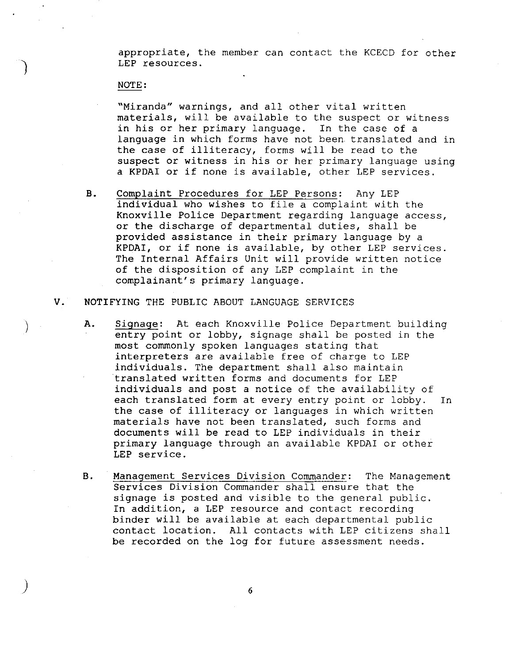appropriate, the member can contact the KCECD for other LEP resources.

### NOTE:

 $\Big)$ 

 $\big)$ 

"Miranda" warnings, and all other vital written materials, will be available to the suspect or witness in his or her primary language. In the case of a language in which forms have not been translated and in the case of illiteracy, forms will be read to the suspect or witness in his or her primary language using a KPDAI or if none is available, other LEP services.

B. Complaint Procedures for LEP Persons: Any LEP individual who wishes to file a complaint with the Knoxville Police Department regarding language access, or the discharge of departmental duties, shall be provided assistance in their primary language by a KPDAI, or if none is available, by other LEP services. The Internal Affairs Unit will provide written notice of the disposition of any LEP complaint in the complainant's primary language.

# V. NOTIFYING THE PUBLIC ABOUT LANGUAGE SERVICES

- A. Signage: At each Knoxville Police Department building entry point or lobby, signage shall be posted in the most commonly spoken languages stating that interpreters are available free of charge to LEP individuals. The department shall also maintain translated written forms and documents for LEP individuals and post a notice of the availability of each translated form at every entry point or lobby. In the case of illiteracy or languages in which written materials have not been translated, such forms and documents will be read to LEP individuals in their primary language through an available KPDAI or other LEP service.
- B. Management Services Division Commander: The Management Services Division Commander shall ensure that the signage is posted and visible to the general public. In addition, a LEP resource and contact recording binder will be available at each departmental public contact location. All contacts with LEP citizens shall be recorded on the log for future assessment needs.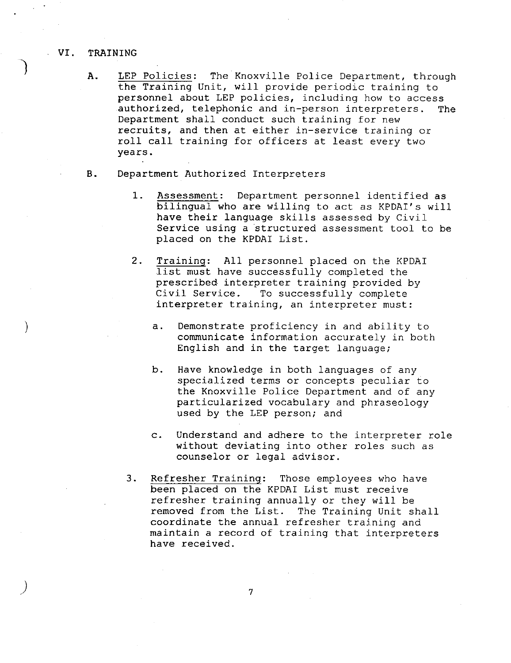### VI. TRAINING

 $\big)$ 

- A. LEP Policies: The Knoxville Police Department, through the Training Unit, will provide periodic training to personnel about LEP policies, including how to access<br>authorized, telephonic and in-person interpreters. The authorized, telephonic and in-person interpreters. Department shall conduct such training for new recruits, and then at either in-service training or roll call training for officers at least every two years.
- B. Department Authorized Interpreters
	- 1. Assessment: Department personnel identified as bilingual who are willing to act as KPDAI's will have their language skills assessed by Civil Service using a structured assessment tool to be placed on the KPDAI List.
	- 2. Training: All personnel placed on the KPDAI list must have successfully completed the prescribed interpreter training provided by<br>Civil Service. To successfully complete To successfully complete interpreter training, an interpreter must:
		- a. Demonstrate proficiency in and ability to communicate information accurately in both English and in the target language;
		- b. Have knowledge in both languages of any specialized terms or concepts peculiar to the Knoxville Police Department and of any particularized vocabulary and phraseology used by the LEP person; and
		- c. Understand and adhere to the interpreter role without deviating into other roles such as counselor or legal advisor.
	- 3. Refresher Training: Those employees who have been placed on the KPDAI List must receive refresher training annually or they will be removed from the List. The Training Unit shall coordinate the annual refresher training and maintain a record of training that interpreters have received.

7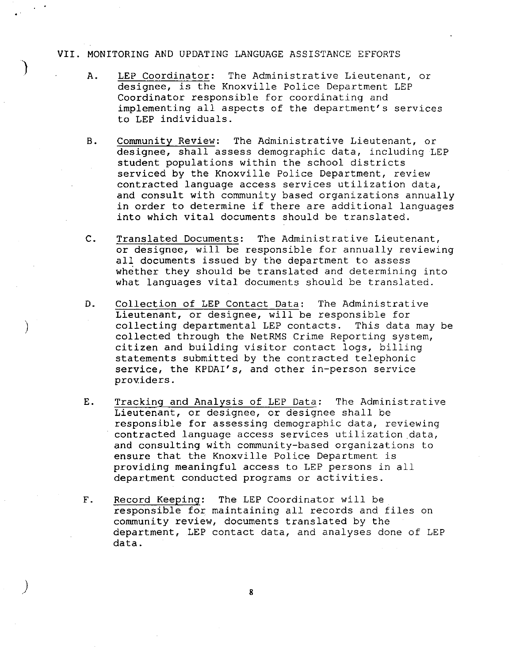## VII. MONITORING AND UPDATING LANGUAGE ASSISTANCE EFFORTS

)

 $\big)$ 

 $\int$ 

- A. LEP Coordinator: The Administrative Lieutenant, or designee, is the Knoxville Police Department LEP Coordinator responsible for coordinating and implementing all aspects of the department's services to LEP individuals.
- B. Community Review: The Administrative Lieutenant, or designee, shall assess demographic data, including LEP student populations within the school districts serviced by the Knoxville Police Department, review contracted language access services utilization data, and consult with community based organizations annually in order to determine if there are additional languages into which vital documents should be translated.
- C. Translated Documents: The Administrative Lieutenant, or designee, will be responsible for annually reviewing all documents issued by the department to assess whether they should be translated and determining into what languages vital documents should be translated.
- D. Collection of LEP Contact Data: The Administrative Lieutenant, or designee, will be responsible for collecting departmental LEP contacts. This data may be collected through the NetRMS Crime Reporting system, citizen and building visitor contact logs, billing statements submitted by the contracted telephonic service, the KPDAI's, and other in-person service providers.
- E. Tracking and Analysis of LEP Data: The Administrative Lieutenant, or designee, or designee shall be responsible for assessing demographic data, reviewing contracted language access services utilization data, and consulting with community-based organizations to ensure that the Knoxville Police Department is providing meaningful access to LEP persons in all department conducted programs or activities.
- F. Record Keeping: The LEP Coordinator will be responsible for maintaining all records and files on community review, documents translated by the department, LEP contact data, and analyses done of LEP data.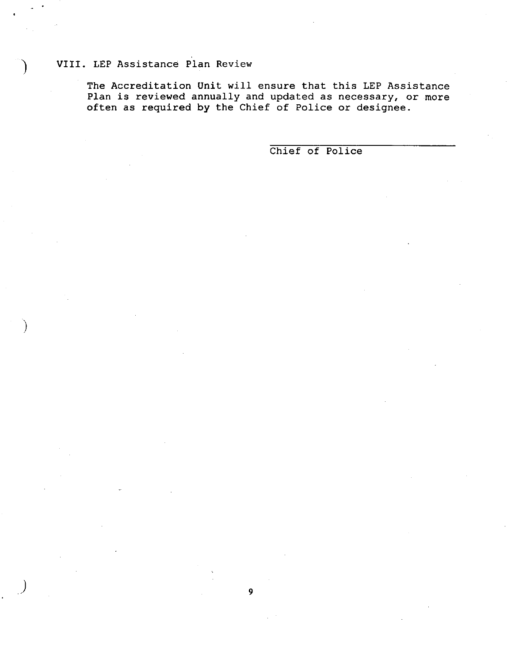# ) VIII. LEP Assistance Plan Review

 $\big)$ 

The Accreditation Unit will ensure that this LEP Assistance Plan is reviewed annually and updated as necessary, or more often as required by the Chief of Police or designee.

9

Chief of Police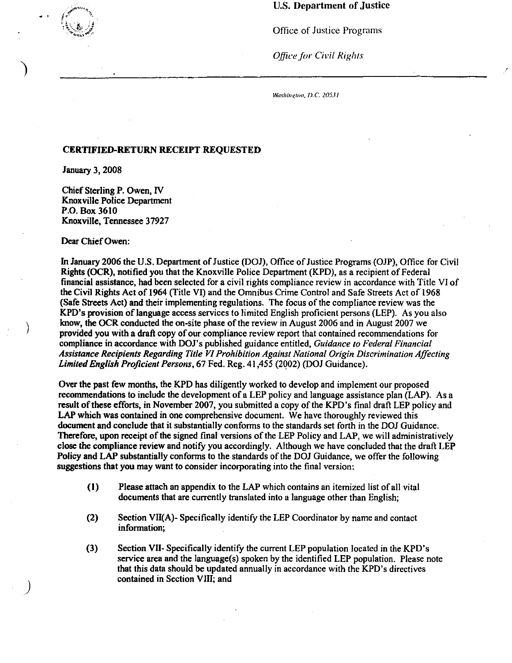# U.S. Department of Justice

Office of Justice Programs

**Office for Civil Rights** 

Washington, D.C. 20531

# CERTIFIED-RETURN RECEIPT REQUESTED

January 3, 2008

)

)

)

Chief Sterling P. Owen, IV Knoxville Police Department P.O. Box 3610 Knoxville, Tennessee 37927

Dear Chief Owen:

In January 2006 the U.S. Department of Justice (DOJ), Office of Justice Programs (OJP), Office for Civil Rights (OCR), notified you that the Knoxville Police Department (KPD), as a recipient of Federal financial assistance, had been selected for a civil rights compliance review in accordance with Title VI of the Civil Rights Act of 1964 (Title VI) and the Omnibus Crime Control and Safe Streets Act of 1968 (Safe Streets Act) and their implementing regulations. The focus of the compliance review was the KPD's provision of language access services to limited English proficient persons (LEP). As you also know, the OCR conducted the on-site phase of the review in August 2006 and in August 2007 we provided you with a draft copy of our compliance review report that contained recommendations for compliance in accordance with DOJ's published guidance entitled, *Guidance to Federal Financial Assistance Recipients Regarding Title VI Prohibition Against National Origin Discrimination Affecting*  Limited English Proficient Persons, 67 Fed. Reg. 41,455 (2002) (DOJ Guidance).

Over the past few months, the KPD has diligently worked to develop and implement our proposed recommendations to include the development of a LEP policy and language assistance plan (LAP). As a result of these efforts, in November 2007, you submitted a copy of the KPD's final draft LEP policy and LAP which was contained in one comprehensive document. We have thoroughly reviewed this document and conclude that it substantially conforms to the standards set forth in the DOJ Guidance. Therefore, upon receipt of the signed final versions of the LEP Policy and LAP, we will administratively close the compliance review and notify you accordingly. Although we have concluded that the draft LEP Policy and LAP substantially conforms to the standards of the DOJ Guidance, we offer the following suggestions that you may want to consider incorporating into the final version:

- (I) Please attach an appendix to the LAP which contains an itemized list of all vital documents that are currently translated into a language other than English;
- (2) Section VII(A)- Specifically identify the LEP Coordinator by name and contact information;
- (3) Section VII- Specifically identify the current LEP population located in the KPD's service area and the language(s) spoken by the identified LEP population. Please note that this data should be updated annually in accordance with the KPD's directives contained in Section VIII; and